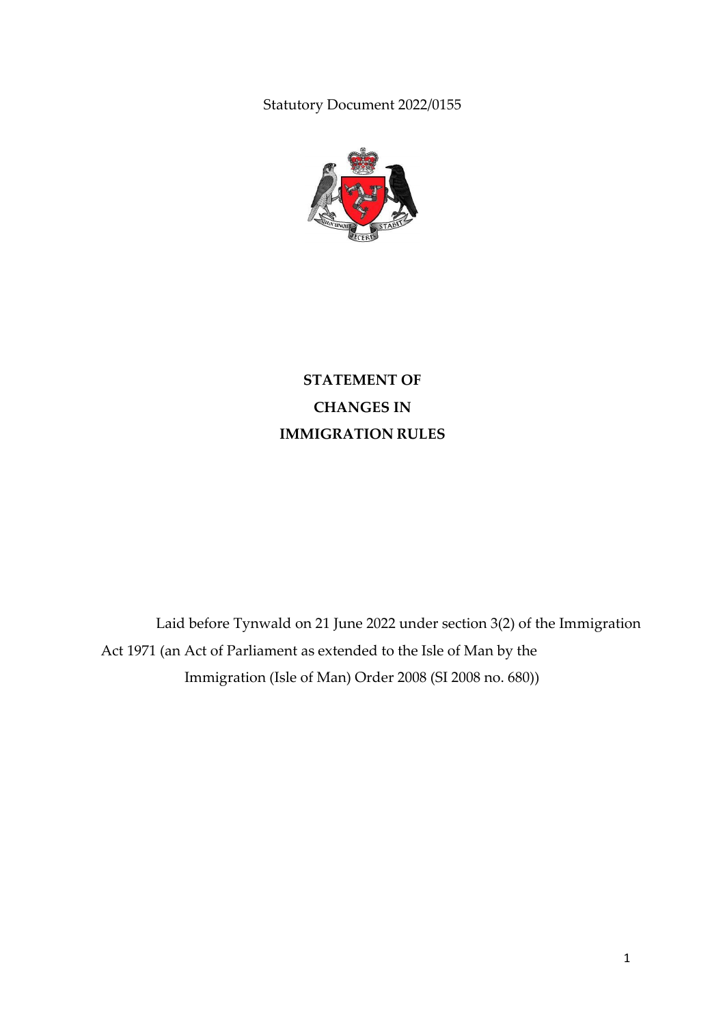Statutory Document 2022/0155



**STATEMENT OF CHANGES IN IMMIGRATION RULES**

Laid before Tynwald on 21 June 2022 under section 3(2) of the Immigration Act 1971 (an Act of Parliament as extended to the Isle of Man by the Immigration (Isle of Man) Order 2008 (SI 2008 no. 680))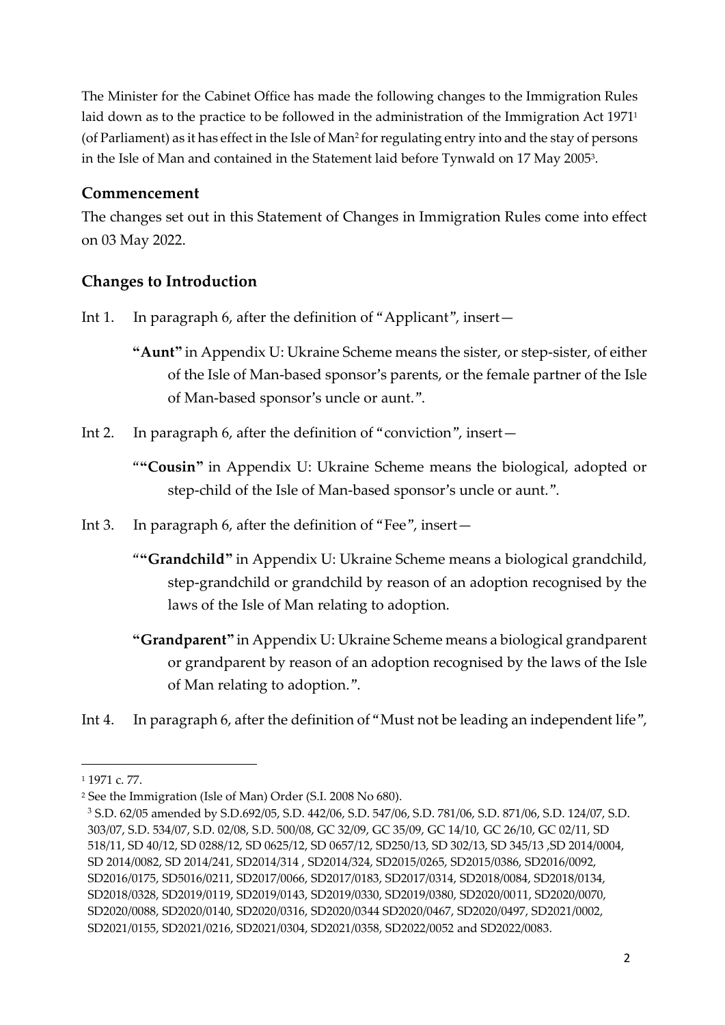The Minister for the Cabinet Office has made the following changes to the Immigration Rules laid down as to the practice to be followed in the administration of the Immigration Act 1971<sup>1</sup> (of Parliament) as it has effect in the Isle of Man<sup>2</sup> for regulating entry into and the stay of persons in the Isle of Man and contained in the Statement laid before Tynwald on 17 May 2005<sup>3</sup> .

# **Commencement**

The changes set out in this Statement of Changes in Immigration Rules come into effect on 03 May 2022.

# **Changes to Introduction**

Int 1. In paragraph 6, after the definition of "Applicant", insert—

**"Aunt"** in Appendix U: Ukraine Scheme means the sister, or step-sister, of either of the Isle of Man-based sponsor's parents, or the female partner of the Isle of Man-based sponsor's uncle or aunt.".

- Int 2. In paragraph 6, after the definition of "conviction", insert—
	- "**"Cousin"** in Appendix U: Ukraine Scheme means the biological, adopted or step-child of the Isle of Man-based sponsor's uncle or aunt.".
- Int 3. In paragraph 6, after the definition of "Fee", insert—
	- "**"Grandchild"** in Appendix U: Ukraine Scheme means a biological grandchild, step-grandchild or grandchild by reason of an adoption recognised by the laws of the Isle of Man relating to adoption.
	- **"Grandparent"** in Appendix U: Ukraine Scheme means a biological grandparent or grandparent by reason of an adoption recognised by the laws of the Isle of Man relating to adoption.".
- Int 4. In paragraph 6, after the definition of "Must not be leading an independent life",

1

<sup>1</sup> 1971 c. 77.

<sup>2</sup> See the Immigration (Isle of Man) Order (S.I. 2008 No 680).

<sup>3</sup> S.D. 62/05 amended by S.D.692/05, S.D. 442/06, S.D. 547/06, S.D. 781/06, S.D. 871/06, S.D. 124/07, S.D. 303/07, S.D. 534/07, S.D. 02/08, S.D. 500/08, GC 32/09, GC 35/09, GC 14/10, GC 26/10, GC 02/11, SD 518/11, SD 40/12, SD 0288/12, SD 0625/12, SD 0657/12, SD250/13, SD 302/13, SD 345/13 ,SD 2014/0004, SD 2014/0082, SD 2014/241, SD2014/314 , SD2014/324, SD2015/0265, SD2015/0386, SD2016/0092, SD2016/0175, SD5016/0211, SD2017/0066, SD2017/0183, SD2017/0314, SD2018/0084, SD2018/0134, SD2018/0328, SD2019/0119, SD2019/0143, SD2019/0330, SD2019/0380, SD2020/0011, SD2020/0070, SD2020/0088, SD2020/0140, SD2020/0316, SD2020/0344 SD2020/0467, SD2020/0497, SD2021/0002, SD2021/0155, SD2021/0216, SD2021/0304, SD2021/0358, SD2022/0052 and SD2022/0083.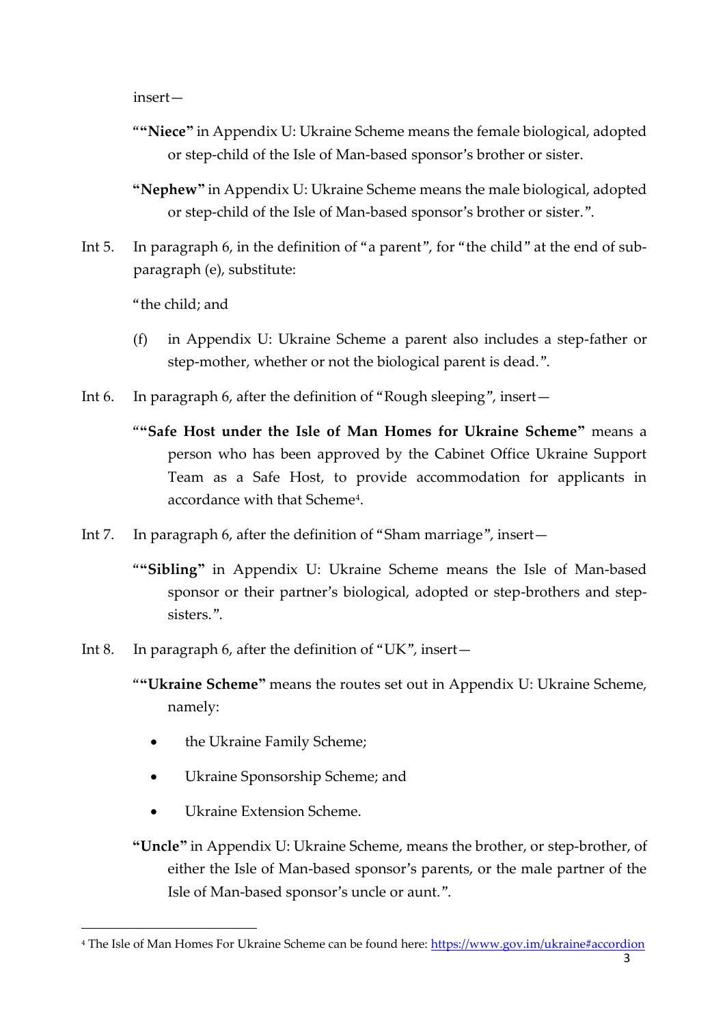insert—

- "**"Niece"** in Appendix U: Ukraine Scheme means the female biological, adopted or step-child of the Isle of Man-based sponsor's brother or sister.
- **"Nephew"** in Appendix U: Ukraine Scheme means the male biological, adopted or step-child of the Isle of Man-based sponsor's brother or sister.".
- Int 5. In paragraph 6, in the definition of "a parent", for "the child" at the end of subparagraph (e), substitute:

"the child; and

- (f) in Appendix U: Ukraine Scheme a parent also includes a step-father or step-mother, whether or not the biological parent is dead.".
- Int 6. In paragraph 6, after the definition of "Rough sleeping", insert—
	- "**"Safe Host under the Isle of Man Homes for Ukraine Scheme"** means a person who has been approved by the Cabinet Office Ukraine Support Team as a Safe Host, to provide accommodation for applicants in accordance with that Scheme<sup>4</sup> .
- Int 7. In paragraph 6, after the definition of "Sham marriage", insert—
	- "**"Sibling"** in Appendix U: Ukraine Scheme means the Isle of Man-based sponsor or their partner's biological, adopted or step-brothers and stepsisters.".
- Int 8. In paragraph 6, after the definition of "UK", insert—
	- "**"Ukraine Scheme"** means the routes set out in Appendix U: Ukraine Scheme, namely:
		- the Ukraine Family Scheme;
		- Ukraine Sponsorship Scheme; and
		- Ukraine Extension Scheme.

1

**"Uncle"** in Appendix U: Ukraine Scheme, means the brother, or step-brother, of either the Isle of Man-based sponsor's parents, or the male partner of the Isle of Man-based sponsor's uncle or aunt.".

<sup>&</sup>lt;sup>4</sup> The Isle of Man Homes For Ukraine Scheme can be found here:<https://www.gov.im/ukraine#accordion>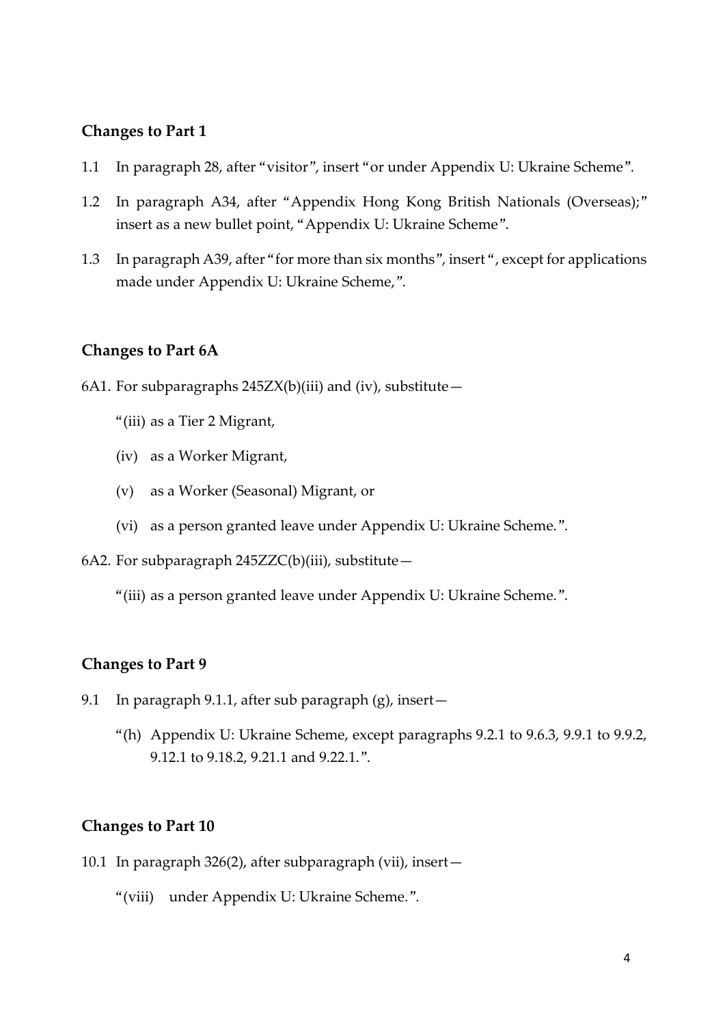#### **Changes to Part 1**

- 1.1 In paragraph 28, after "visitor", insert "or under Appendix U: Ukraine Scheme".
- 1.2 In paragraph A34, after "Appendix Hong Kong British Nationals (Overseas);" insert as a new bullet point, "Appendix U: Ukraine Scheme".
- 1.3 In paragraph A39, after "for more than six months", insert ", except for applications made under Appendix U: Ukraine Scheme,".

#### **Changes to Part 6A**

- 6A1. For subparagraphs  $245ZX(b)(iii)$  and (iv), substitute -
	- "(iii) as a Tier 2 Migrant,
	- (iv) as a Worker Migrant,
	- (v) as a Worker (Seasonal) Migrant, or
	- (vi) as a person granted leave under Appendix U: Ukraine Scheme.".
- 6A2. For subparagraph 245ZZC(b)(iii), substitute—
	- "(iii) as a person granted leave under Appendix U: Ukraine Scheme.".

#### **Changes to Part 9**

- 9.1 In paragraph 9.1.1, after sub paragraph (g), insert—
	- "(h) Appendix U: Ukraine Scheme, except paragraphs 9.2.1 to 9.6.3, 9.9.1 to 9.9.2, 9.12.1 to 9.18.2, 9.21.1 and 9.22.1.".

#### **Changes to Part 10**

- 10.1 In paragraph 326(2), after subparagraph (vii), insert—
	- "(viii) under Appendix U: Ukraine Scheme.".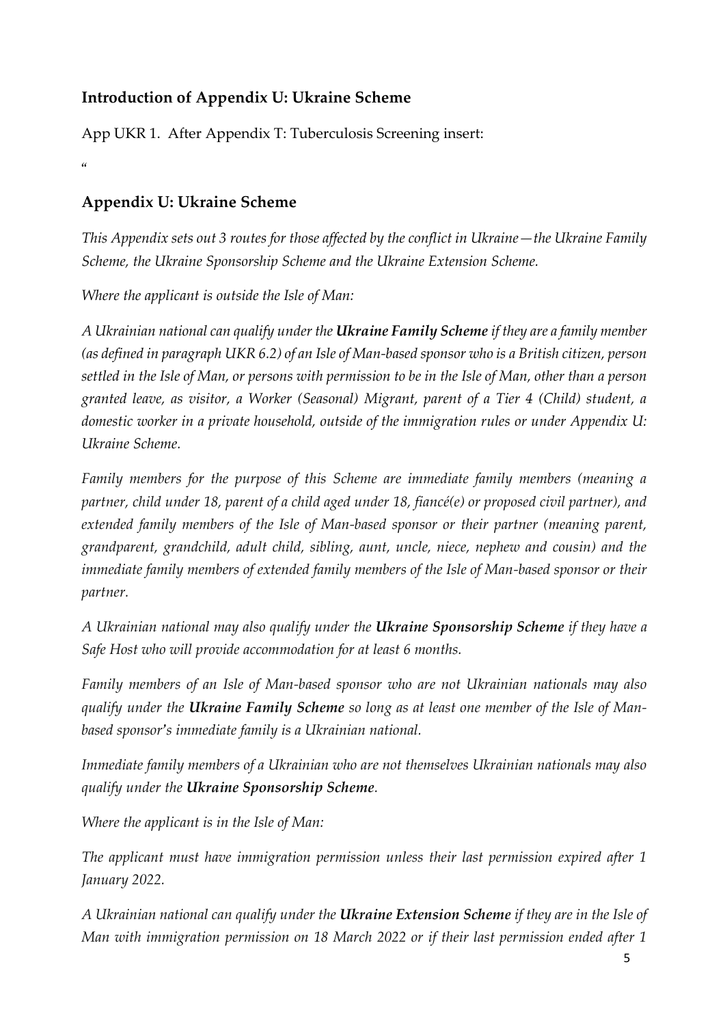# **Introduction of Appendix U: Ukraine Scheme**

App UKR 1. After Appendix T: Tuberculosis Screening insert:

"

# **Appendix U: Ukraine Scheme**

*This Appendix sets out 3 routes for those affected by the conflict in Ukraine—the Ukraine Family Scheme, the Ukraine Sponsorship Scheme and the Ukraine Extension Scheme.*

*Where the applicant is outside the Isle of Man:*

*A Ukrainian national can qualify under the Ukraine Family Scheme if they are a family member (as defined in paragraph UKR 6.2) of an Isle of Man-based sponsor who is a British citizen, person settled in the Isle of Man, or persons with permission to be in the Isle of Man, other than a person granted leave, as visitor, a Worker (Seasonal) Migrant, parent of a Tier 4 (Child) student, a domestic worker in a private household, outside of the immigration rules or under Appendix U: Ukraine Scheme.*

*Family members for the purpose of this Scheme are immediate family members (meaning a partner, child under 18, parent of a child aged under 18, fiancé(e) or proposed civil partner), and extended family members of the Isle of Man-based sponsor or their partner (meaning parent, grandparent, grandchild, adult child, sibling, aunt, uncle, niece, nephew and cousin) and the immediate family members of extended family members of the Isle of Man-based sponsor or their partner.*

*A Ukrainian national may also qualify under the Ukraine Sponsorship Scheme if they have a Safe Host who will provide accommodation for at least 6 months.*

*Family members of an Isle of Man-based sponsor who are not Ukrainian nationals may also qualify under the Ukraine Family Scheme so long as at least one member of the Isle of Manbased sponsor's immediate family is a Ukrainian national.*

*Immediate family members of a Ukrainian who are not themselves Ukrainian nationals may also qualify under the Ukraine Sponsorship Scheme.*

*Where the applicant is in the Isle of Man:*

*The applicant must have immigration permission unless their last permission expired after 1 January 2022.*

*A Ukrainian national can qualify under the Ukraine Extension Scheme if they are in the Isle of Man with immigration permission on 18 March 2022 or if their last permission ended after 1*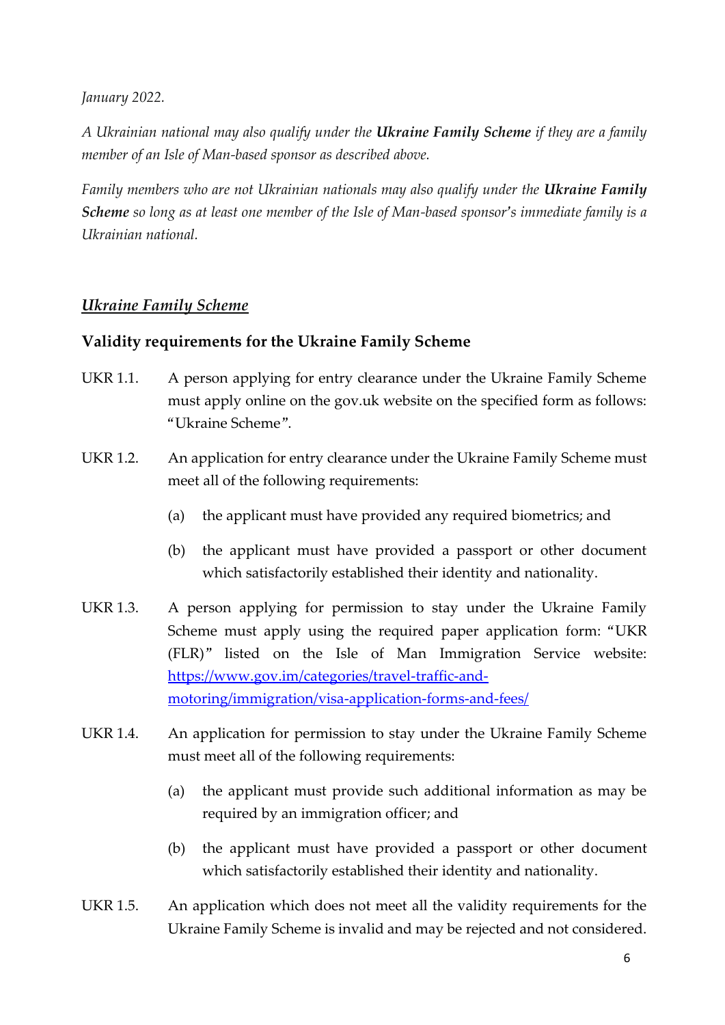*January 2022.* 

*A Ukrainian national may also qualify under the Ukraine Family Scheme if they are a family member of an Isle of Man-based sponsor as described above.*

*Family members who are not Ukrainian nationals may also qualify under the Ukraine Family Scheme so long as at least one member of the Isle of Man-based sponsor's immediate family is a Ukrainian national.*

# *Ukraine Family Scheme*

## **Validity requirements for the Ukraine Family Scheme**

- UKR 1.1. A person applying for entry clearance under the Ukraine Family Scheme must apply online on the gov.uk website on the specified form as follows: "Ukraine Scheme".
- UKR 1.2. An application for entry clearance under the Ukraine Family Scheme must meet all of the following requirements:
	- (a) the applicant must have provided any required biometrics; and
	- (b) the applicant must have provided a passport or other document which satisfactorily established their identity and nationality.
- UKR 1.3. A person applying for permission to stay under the Ukraine Family Scheme must apply using the required paper application form: "UKR (FLR)" listed on the Isle of Man Immigration Service website: [https://www.gov.im/categories/travel-traffic-and](https://www.gov.im/categories/travel-traffic-and-motoring/immigration/visa-application-forms-and-fees/)[motoring/immigration/visa-application-forms-and-fees/](https://www.gov.im/categories/travel-traffic-and-motoring/immigration/visa-application-forms-and-fees/)
- UKR 1.4. An application for permission to stay under the Ukraine Family Scheme must meet all of the following requirements:
	- (a) the applicant must provide such additional information as may be required by an immigration officer; and
	- (b) the applicant must have provided a passport or other document which satisfactorily established their identity and nationality.
- UKR 1.5. An application which does not meet all the validity requirements for the Ukraine Family Scheme is invalid and may be rejected and not considered.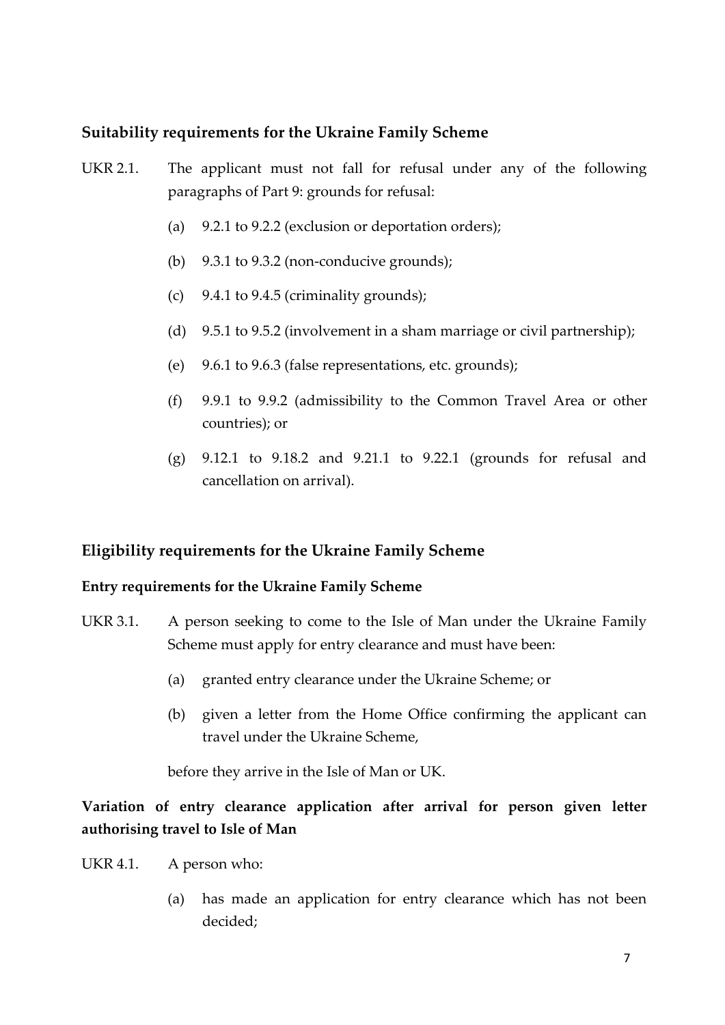# **Suitability requirements for the Ukraine Family Scheme**

- UKR 2.1. The applicant must not fall for refusal under any of the following paragraphs of Part 9: grounds for refusal:
	- (a) 9.2.1 to 9.2.2 (exclusion or deportation orders);
	- (b)  $9.3.1$  to  $9.3.2$  (non-conducive grounds);
	- (c) 9.4.1 to 9.4.5 (criminality grounds);
	- (d) 9.5.1 to 9.5.2 (involvement in a sham marriage or civil partnership);
	- (e) 9.6.1 to 9.6.3 (false representations, etc. grounds);
	- (f) 9.9.1 to 9.9.2 (admissibility to the Common Travel Area or other countries); or
	- (g) 9.12.1 to 9.18.2 and 9.21.1 to 9.22.1 (grounds for refusal and cancellation on arrival).

## **Eligibility requirements for the Ukraine Family Scheme**

#### **Entry requirements for the Ukraine Family Scheme**

- UKR 3.1. A person seeking to come to the Isle of Man under the Ukraine Family Scheme must apply for entry clearance and must have been:
	- (a) granted entry clearance under the Ukraine Scheme; or
	- (b) given a letter from the Home Office confirming the applicant can travel under the Ukraine Scheme,

before they arrive in the Isle of Man or UK.

**Variation of entry clearance application after arrival for person given letter authorising travel to Isle of Man**

- UKR 4.1. A person who:
	- (a) has made an application for entry clearance which has not been decided;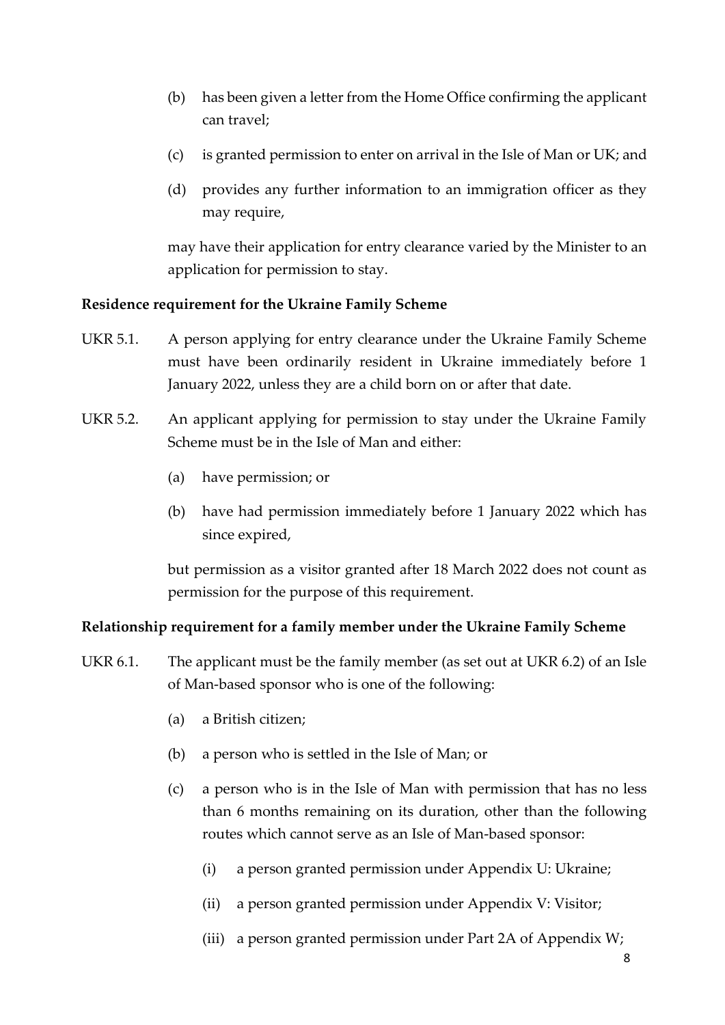- (b) has been given a letter from the Home Office confirming the applicant can travel;
- (c) is granted permission to enter on arrival in the Isle of Man or UK; and
- (d) provides any further information to an immigration officer as they may require,

may have their application for entry clearance varied by the Minister to an application for permission to stay.

#### **Residence requirement for the Ukraine Family Scheme**

- UKR 5.1. A person applying for entry clearance under the Ukraine Family Scheme must have been ordinarily resident in Ukraine immediately before 1 January 2022, unless they are a child born on or after that date.
- UKR 5.2. An applicant applying for permission to stay under the Ukraine Family Scheme must be in the Isle of Man and either:
	- (a) have permission; or
	- (b) have had permission immediately before 1 January 2022 which has since expired,

but permission as a visitor granted after 18 March 2022 does not count as permission for the purpose of this requirement.

#### **Relationship requirement for a family member under the Ukraine Family Scheme**

- UKR 6.1. The applicant must be the family member (as set out at UKR 6.2) of an Isle of Man-based sponsor who is one of the following:
	- (a) a British citizen;
	- (b) a person who is settled in the Isle of Man; or
	- (c) a person who is in the Isle of Man with permission that has no less than 6 months remaining on its duration, other than the following routes which cannot serve as an Isle of Man-based sponsor:
		- (i) a person granted permission under Appendix U: Ukraine;
		- (ii) a person granted permission under Appendix V: Visitor;
		- (iii) a person granted permission under Part 2A of Appendix W;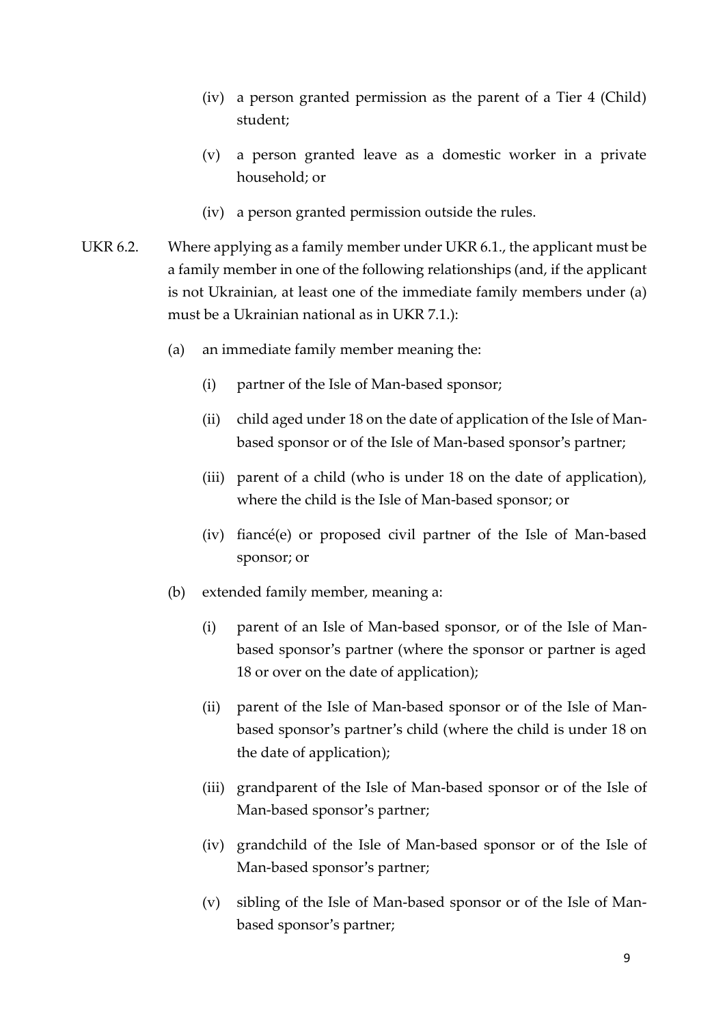- (iv) a person granted permission as the parent of a Tier 4 (Child) student;
- (v) a person granted leave as a domestic worker in a private household; or
- (iv) a person granted permission outside the rules.
- UKR 6.2. Where applying as a family member under UKR 6.1., the applicant must be a family member in one of the following relationships (and, if the applicant is not Ukrainian, at least one of the immediate family members under (a) must be a Ukrainian national as in UKR 7.1.):
	- (a) an immediate family member meaning the:
		- (i) partner of the Isle of Man-based sponsor;
		- (ii) child aged under 18 on the date of application of the Isle of Manbased sponsor or of the Isle of Man-based sponsor's partner;
		- (iii) parent of a child (who is under 18 on the date of application), where the child is the Isle of Man-based sponsor; or
		- (iv) fiancé(e) or proposed civil partner of the Isle of Man-based sponsor; or
	- (b) extended family member, meaning a:
		- (i) parent of an Isle of Man-based sponsor, or of the Isle of Manbased sponsor's partner (where the sponsor or partner is aged 18 or over on the date of application);
		- (ii) parent of the Isle of Man-based sponsor or of the Isle of Manbased sponsor's partner's child (where the child is under 18 on the date of application);
		- (iii) grandparent of the Isle of Man-based sponsor or of the Isle of Man-based sponsor's partner;
		- (iv) grandchild of the Isle of Man-based sponsor or of the Isle of Man-based sponsor's partner;
		- (v) sibling of the Isle of Man-based sponsor or of the Isle of Manbased sponsor's partner;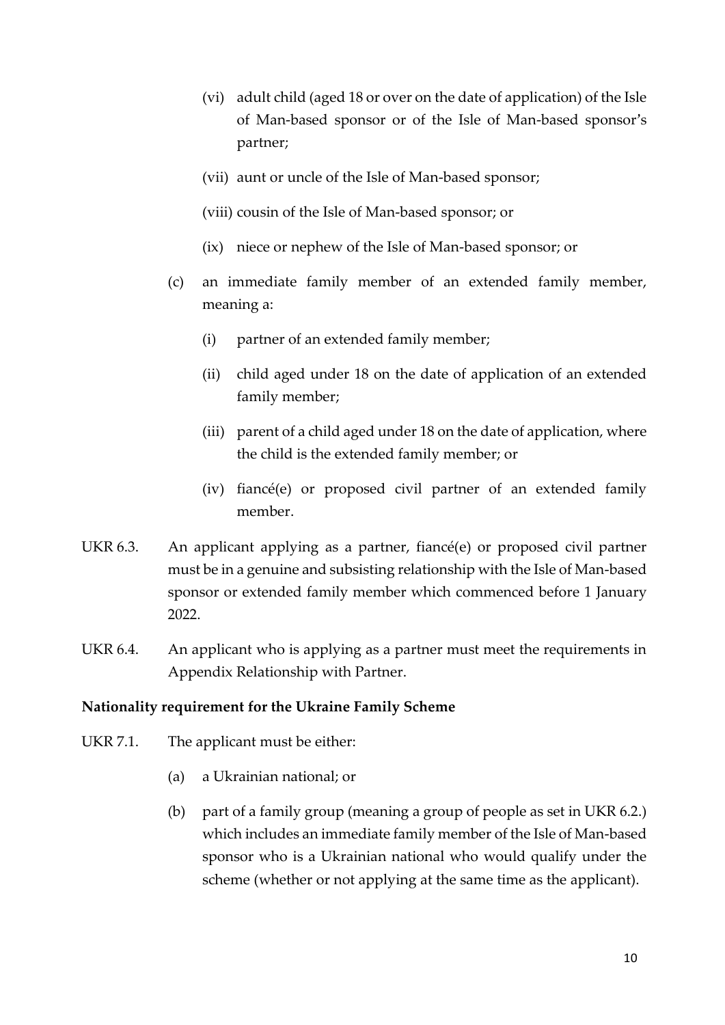- (vi) adult child (aged 18 or over on the date of application) of the Isle of Man-based sponsor or of the Isle of Man-based sponsor's partner;
- (vii) aunt or uncle of the Isle of Man-based sponsor;
- (viii) cousin of the Isle of Man-based sponsor; or
- (ix) niece or nephew of the Isle of Man-based sponsor; or
- (c) an immediate family member of an extended family member, meaning a:
	- (i) partner of an extended family member;
	- (ii) child aged under 18 on the date of application of an extended family member;
	- (iii) parent of a child aged under 18 on the date of application, where the child is the extended family member; or
	- (iv) fiancé(e) or proposed civil partner of an extended family member.
- UKR 6.3. An applicant applying as a partner, fiancé(e) or proposed civil partner must be in a genuine and subsisting relationship with the Isle of Man-based sponsor or extended family member which commenced before 1 January 2022.
- UKR 6.4. An applicant who is applying as a partner must meet the requirements in Appendix Relationship with Partner.

#### **Nationality requirement for the Ukraine Family Scheme**

- UKR 7.1. The applicant must be either:
	- (a) a Ukrainian national; or
	- (b) part of a family group (meaning a group of people as set in UKR 6.2.) which includes an immediate family member of the Isle of Man-based sponsor who is a Ukrainian national who would qualify under the scheme (whether or not applying at the same time as the applicant).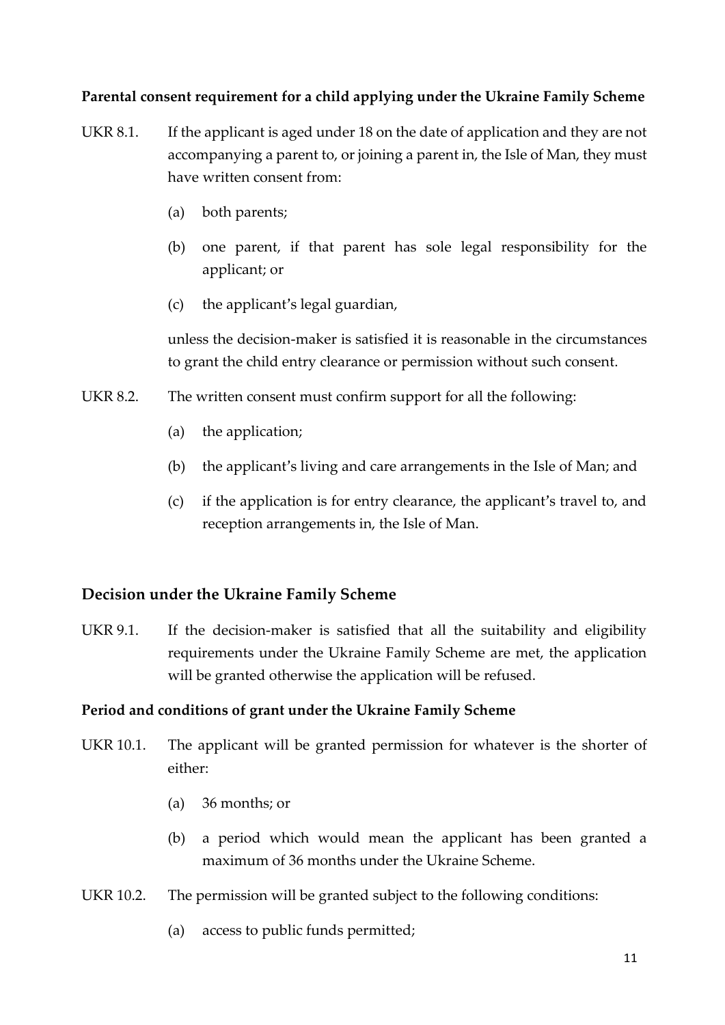## **Parental consent requirement for a child applying under the Ukraine Family Scheme**

- UKR 8.1. If the applicant is aged under 18 on the date of application and they are not accompanying a parent to, or joining a parent in, the Isle of Man, they must have written consent from:
	- (a) both parents;
	- (b) one parent, if that parent has sole legal responsibility for the applicant; or
	- (c) the applicant's legal guardian,

unless the decision-maker is satisfied it is reasonable in the circumstances to grant the child entry clearance or permission without such consent.

- UKR 8.2. The written consent must confirm support for all the following:
	- (a) the application;
	- (b) the applicant's living and care arrangements in the Isle of Man; and
	- (c) if the application is for entry clearance, the applicant's travel to, and reception arrangements in, the Isle of Man.

## **Decision under the Ukraine Family Scheme**

UKR 9.1. If the decision-maker is satisfied that all the suitability and eligibility requirements under the Ukraine Family Scheme are met, the application will be granted otherwise the application will be refused.

#### **Period and conditions of grant under the Ukraine Family Scheme**

- UKR 10.1. The applicant will be granted permission for whatever is the shorter of either:
	- (a) 36 months; or
	- (b) a period which would mean the applicant has been granted a maximum of 36 months under the Ukraine Scheme.
- UKR 10.2. The permission will be granted subject to the following conditions:
	- (a) access to public funds permitted;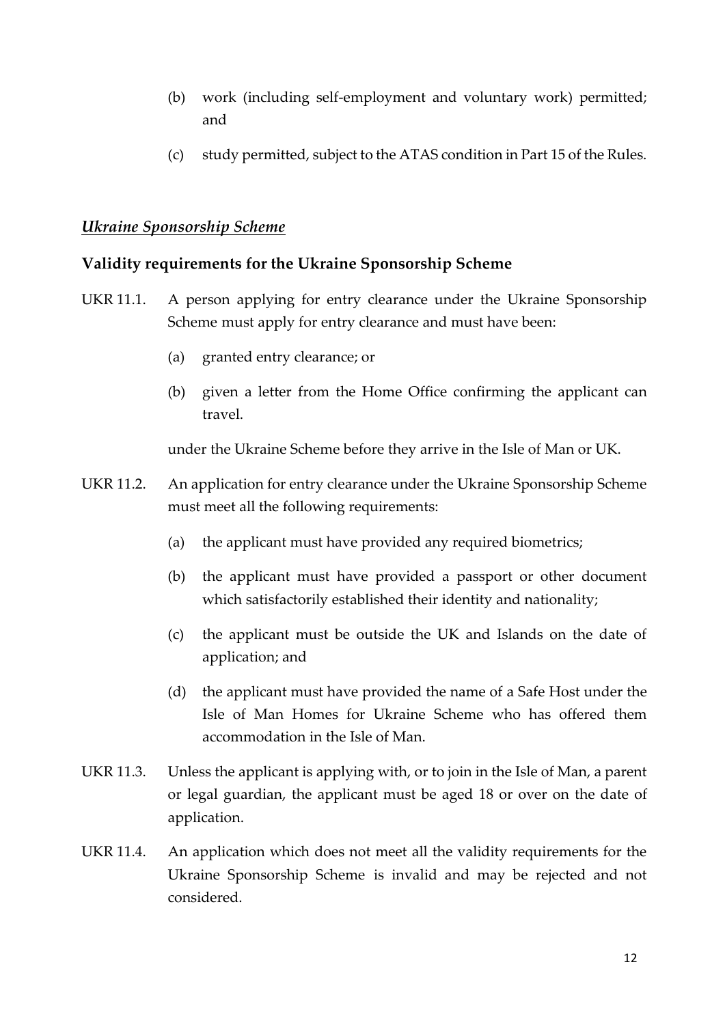- (b) work (including self-employment and voluntary work) permitted; and
- (c) study permitted, subject to the ATAS condition in Part 15 of the Rules.

# *Ukraine Sponsorship Scheme*

# **Validity requirements for the Ukraine Sponsorship Scheme**

- UKR 11.1. A person applying for entry clearance under the Ukraine Sponsorship Scheme must apply for entry clearance and must have been:
	- (a) granted entry clearance; or
	- (b) given a letter from the Home Office confirming the applicant can travel.

under the Ukraine Scheme before they arrive in the Isle of Man or UK.

- UKR 11.2. An application for entry clearance under the Ukraine Sponsorship Scheme must meet all the following requirements:
	- (a) the applicant must have provided any required biometrics;
	- (b) the applicant must have provided a passport or other document which satisfactorily established their identity and nationality;
	- (c) the applicant must be outside the UK and Islands on the date of application; and
	- (d) the applicant must have provided the name of a Safe Host under the Isle of Man Homes for Ukraine Scheme who has offered them accommodation in the Isle of Man.
- UKR 11.3. Unless the applicant is applying with, or to join in the Isle of Man, a parent or legal guardian, the applicant must be aged 18 or over on the date of application.
- UKR 11.4. An application which does not meet all the validity requirements for the Ukraine Sponsorship Scheme is invalid and may be rejected and not considered.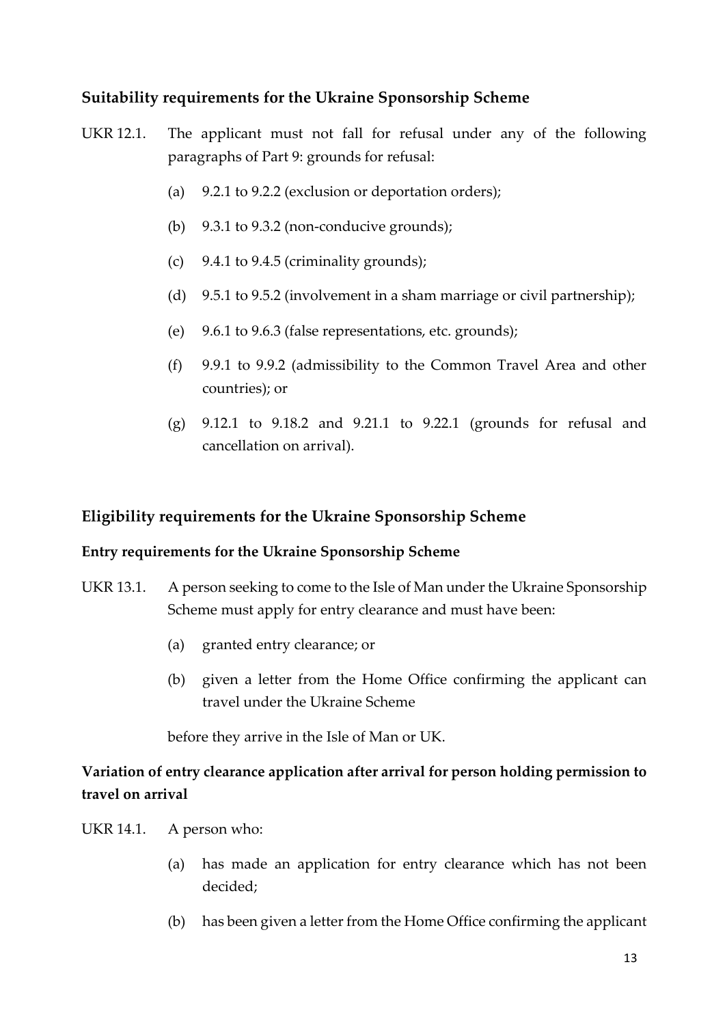# **Suitability requirements for the Ukraine Sponsorship Scheme**

- UKR 12.1. The applicant must not fall for refusal under any of the following paragraphs of Part 9: grounds for refusal:
	- (a) 9.2.1 to 9.2.2 (exclusion or deportation orders);
	- (b) 9.3.1 to 9.3.2 (non-conducive grounds);
	- (c) 9.4.1 to 9.4.5 (criminality grounds);
	- (d) 9.5.1 to 9.5.2 (involvement in a sham marriage or civil partnership);
	- (e) 9.6.1 to 9.6.3 (false representations, etc. grounds);
	- (f) 9.9.1 to 9.9.2 (admissibility to the Common Travel Area and other countries); or
	- (g) 9.12.1 to 9.18.2 and 9.21.1 to 9.22.1 (grounds for refusal and cancellation on arrival).

# **Eligibility requirements for the Ukraine Sponsorship Scheme**

## **Entry requirements for the Ukraine Sponsorship Scheme**

- UKR 13.1. A person seeking to come to the Isle of Man under the Ukraine Sponsorship Scheme must apply for entry clearance and must have been:
	- (a) granted entry clearance; or
	- (b) given a letter from the Home Office confirming the applicant can travel under the Ukraine Scheme

before they arrive in the Isle of Man or UK.

# **Variation of entry clearance application after arrival for person holding permission to travel on arrival**

- UKR 14.1. A person who:
	- (a) has made an application for entry clearance which has not been decided;
	- (b) has been given a letter from the Home Office confirming the applicant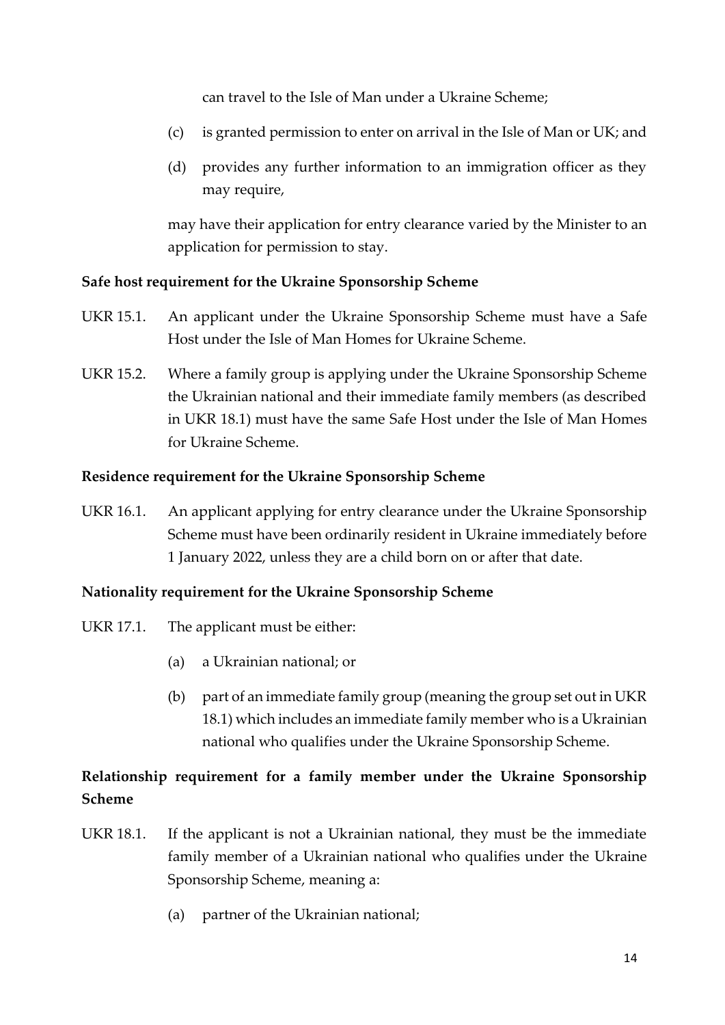can travel to the Isle of Man under a Ukraine Scheme;

- (c) is granted permission to enter on arrival in the Isle of Man or UK; and
- (d) provides any further information to an immigration officer as they may require,

may have their application for entry clearance varied by the Minister to an application for permission to stay.

## **Safe host requirement for the Ukraine Sponsorship Scheme**

- UKR 15.1. An applicant under the Ukraine Sponsorship Scheme must have a Safe Host under the Isle of Man Homes for Ukraine Scheme.
- UKR 15.2. Where a family group is applying under the Ukraine Sponsorship Scheme the Ukrainian national and their immediate family members (as described in UKR 18.1) must have the same Safe Host under the Isle of Man Homes for Ukraine Scheme.

#### **Residence requirement for the Ukraine Sponsorship Scheme**

UKR 16.1. An applicant applying for entry clearance under the Ukraine Sponsorship Scheme must have been ordinarily resident in Ukraine immediately before 1 January 2022, unless they are a child born on or after that date.

## **Nationality requirement for the Ukraine Sponsorship Scheme**

- UKR 17.1. The applicant must be either:
	- (a) a Ukrainian national; or
	- (b) part of an immediate family group (meaning the group set out in UKR 18.1) which includes an immediate family member who is a Ukrainian national who qualifies under the Ukraine Sponsorship Scheme.

# **Relationship requirement for a family member under the Ukraine Sponsorship Scheme**

- UKR 18.1. If the applicant is not a Ukrainian national, they must be the immediate family member of a Ukrainian national who qualifies under the Ukraine Sponsorship Scheme, meaning a:
	- (a) partner of the Ukrainian national;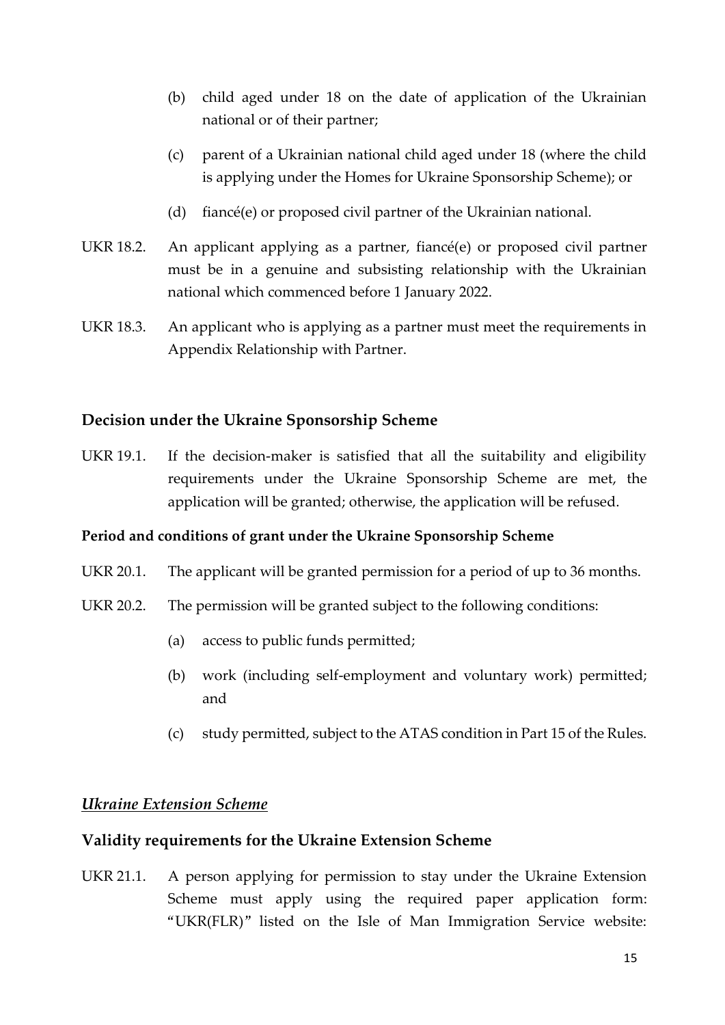- (b) child aged under 18 on the date of application of the Ukrainian national or of their partner;
- (c) parent of a Ukrainian national child aged under 18 (where the child is applying under the Homes for Ukraine Sponsorship Scheme); or
- (d) fiancé(e) or proposed civil partner of the Ukrainian national.
- UKR 18.2. An applicant applying as a partner, fiancé(e) or proposed civil partner must be in a genuine and subsisting relationship with the Ukrainian national which commenced before 1 January 2022.
- UKR 18.3. An applicant who is applying as a partner must meet the requirements in Appendix Relationship with Partner.

## **Decision under the Ukraine Sponsorship Scheme**

UKR 19.1. If the decision-maker is satisfied that all the suitability and eligibility requirements under the Ukraine Sponsorship Scheme are met, the application will be granted; otherwise, the application will be refused.

#### **Period and conditions of grant under the Ukraine Sponsorship Scheme**

- UKR 20.1. The applicant will be granted permission for a period of up to 36 months.
- UKR 20.2. The permission will be granted subject to the following conditions:
	- (a) access to public funds permitted;
	- (b) work (including self-employment and voluntary work) permitted; and
	- (c) study permitted, subject to the ATAS condition in Part 15 of the Rules.

#### *Ukraine Extension Scheme*

#### **Validity requirements for the Ukraine Extension Scheme**

UKR 21.1. A person applying for permission to stay under the Ukraine Extension Scheme must apply using the required paper application form: "UKR(FLR)" listed on the Isle of Man Immigration Service website: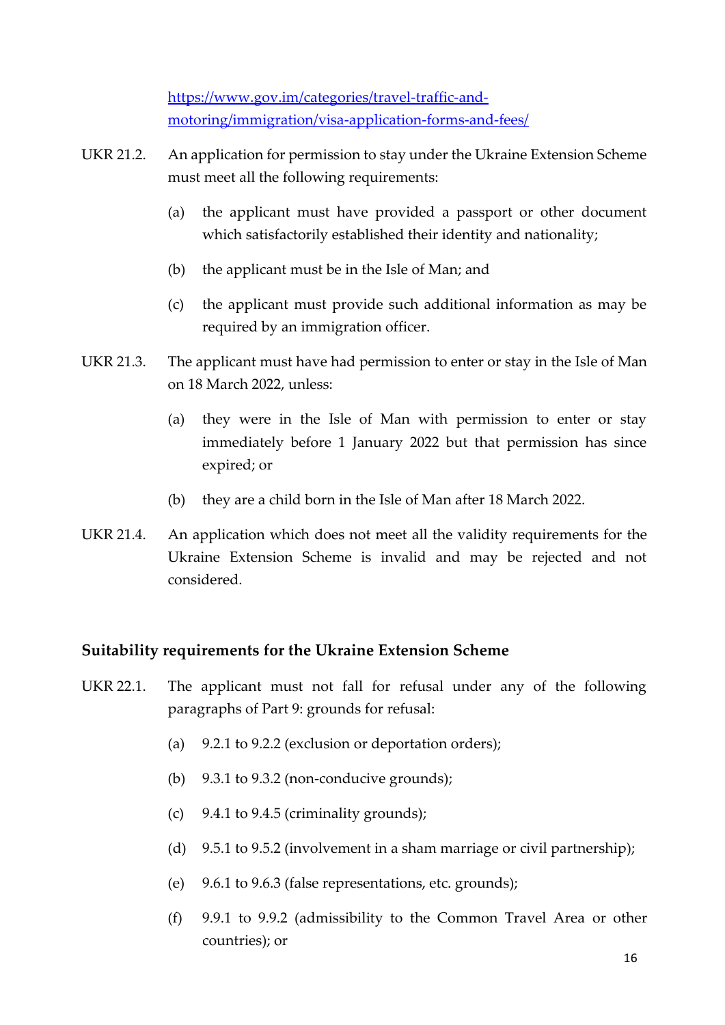[https://www.gov.im/categories/travel-traffic-and](https://www.gov.im/categories/travel-traffic-and-motoring/immigration/visa-application-forms-and-fees/)[motoring/immigration/visa-application-forms-and-fees/](https://www.gov.im/categories/travel-traffic-and-motoring/immigration/visa-application-forms-and-fees/)

- UKR 21.2. An application for permission to stay under the Ukraine Extension Scheme must meet all the following requirements:
	- (a) the applicant must have provided a passport or other document which satisfactorily established their identity and nationality;
	- (b) the applicant must be in the Isle of Man; and
	- (c) the applicant must provide such additional information as may be required by an immigration officer.
- UKR 21.3. The applicant must have had permission to enter or stay in the Isle of Man on 18 March 2022, unless:
	- (a) they were in the Isle of Man with permission to enter or stay immediately before 1 January 2022 but that permission has since expired; or
	- (b) they are a child born in the Isle of Man after 18 March 2022.
- UKR 21.4. An application which does not meet all the validity requirements for the Ukraine Extension Scheme is invalid and may be rejected and not considered.

## **Suitability requirements for the Ukraine Extension Scheme**

- UKR 22.1. The applicant must not fall for refusal under any of the following paragraphs of Part 9: grounds for refusal:
	- (a) 9.2.1 to 9.2.2 (exclusion or deportation orders);
	- (b) 9.3.1 to 9.3.2 (non-conducive grounds);
	- (c) 9.4.1 to 9.4.5 (criminality grounds);
	- (d) 9.5.1 to 9.5.2 (involvement in a sham marriage or civil partnership);
	- (e) 9.6.1 to 9.6.3 (false representations, etc. grounds);
	- (f) 9.9.1 to 9.9.2 (admissibility to the Common Travel Area or other countries); or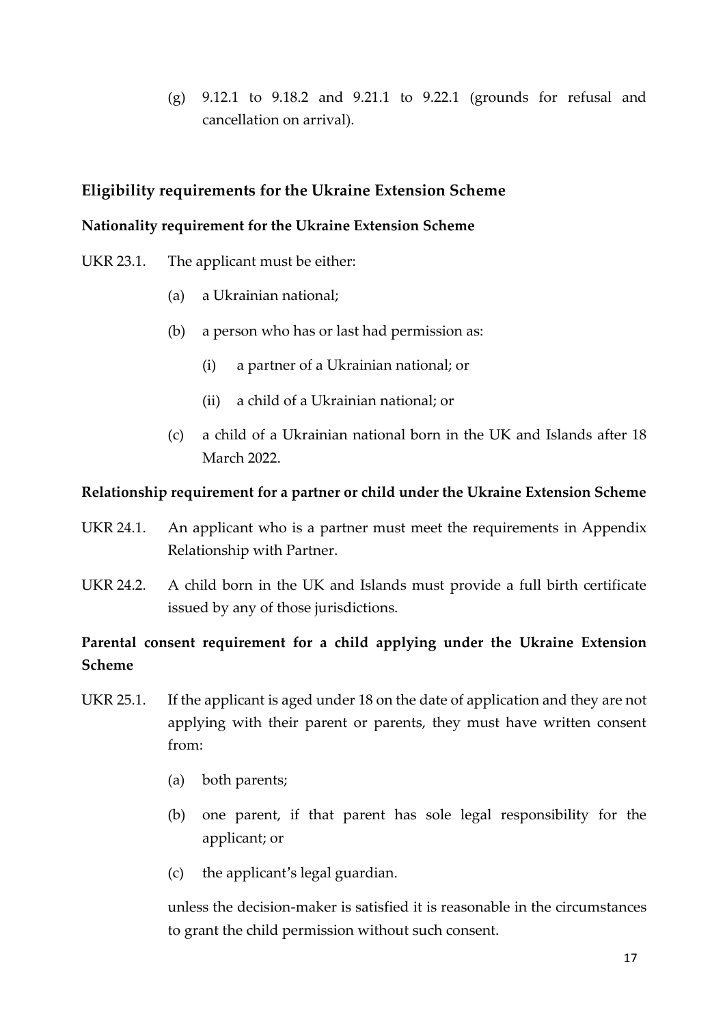(g) 9.12.1 to 9.18.2 and 9.21.1 to 9.22.1 (grounds for refusal and cancellation on arrival).

# **Eligibility requirements for the Ukraine Extension Scheme**

#### **Nationality requirement for the Ukraine Extension Scheme**

- UKR 23.1. The applicant must be either:
	- (a) a Ukrainian national;
	- (b) a person who has or last had permission as:
		- (i) a partner of a Ukrainian national; or
		- (ii) a child of a Ukrainian national; or
	- (c) a child of a Ukrainian national born in the UK and Islands after 18 March 2022.

#### **Relationship requirement for a partner or child under the Ukraine Extension Scheme**

- UKR 24.1. An applicant who is a partner must meet the requirements in Appendix Relationship with Partner.
- UKR 24.2. A child born in the UK and Islands must provide a full birth certificate issued by any of those jurisdictions.

# **Parental consent requirement for a child applying under the Ukraine Extension Scheme**

- UKR 25.1. If the applicant is aged under 18 on the date of application and they are not applying with their parent or parents, they must have written consent from:
	- (a) both parents;
	- (b) one parent, if that parent has sole legal responsibility for the applicant; or
	- (c) the applicant's legal guardian.

unless the decision-maker is satisfied it is reasonable in the circumstances to grant the child permission without such consent.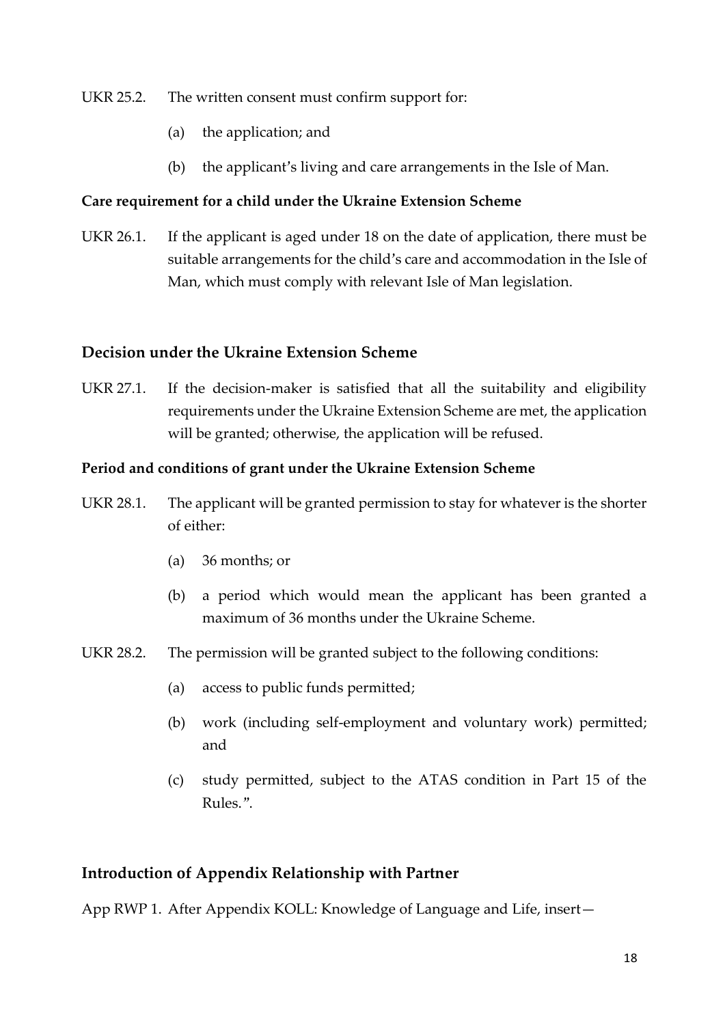#### UKR 25.2. The written consent must confirm support for:

- (a) the application; and
- (b) the applicant's living and care arrangements in the Isle of Man.

#### **Care requirement for a child under the Ukraine Extension Scheme**

UKR 26.1. If the applicant is aged under 18 on the date of application, there must be suitable arrangements for the child's care and accommodation in the Isle of Man, which must comply with relevant Isle of Man legislation.

#### **Decision under the Ukraine Extension Scheme**

UKR 27.1. If the decision-maker is satisfied that all the suitability and eligibility requirements under the Ukraine Extension Scheme are met, the application will be granted; otherwise, the application will be refused.

#### **Period and conditions of grant under the Ukraine Extension Scheme**

- UKR 28.1. The applicant will be granted permission to stay for whatever is the shorter of either:
	- (a) 36 months; or
	- (b) a period which would mean the applicant has been granted a maximum of 36 months under the Ukraine Scheme.
- UKR 28.2. The permission will be granted subject to the following conditions:
	- (a) access to public funds permitted;
	- (b) work (including self-employment and voluntary work) permitted; and
	- (c) study permitted, subject to the ATAS condition in Part 15 of the Rules.".

## **Introduction of Appendix Relationship with Partner**

App RWP 1. After Appendix KOLL: Knowledge of Language and Life, insert—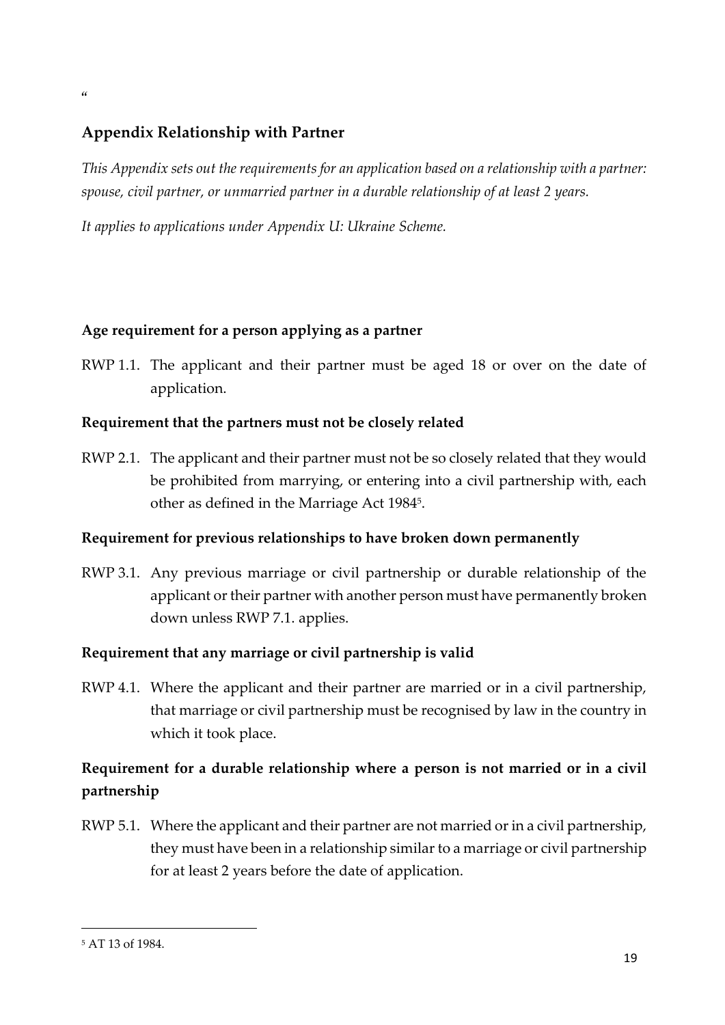# **Appendix Relationship with Partner**

*This Appendix sets out the requirements for an application based on a relationship with a partner: spouse, civil partner, or unmarried partner in a durable relationship of at least 2 years.*

*It applies to applications under Appendix U: Ukraine Scheme.*

## **Age requirement for a person applying as a partner**

RWP 1.1. The applicant and their partner must be aged 18 or over on the date of application.

#### **Requirement that the partners must not be closely related**

RWP 2.1. The applicant and their partner must not be so closely related that they would be prohibited from marrying, or entering into a civil partnership with, each other as defined in the Marriage Act 1984<sup>5</sup> .

## **Requirement for previous relationships to have broken down permanently**

RWP 3.1. Any previous marriage or civil partnership or durable relationship of the applicant or their partner with another person must have permanently broken down unless RWP 7.1. applies.

## **Requirement that any marriage or civil partnership is valid**

RWP 4.1. Where the applicant and their partner are married or in a civil partnership, that marriage or civil partnership must be recognised by law in the country in which it took place.

# **Requirement for a durable relationship where a person is not married or in a civil partnership**

RWP 5.1. Where the applicant and their partner are not married or in a civil partnership, they must have been in a relationship similar to a marriage or civil partnership for at least 2 years before the date of application.

1

 $\epsilon$ 

<sup>5</sup> AT 13 of 1984.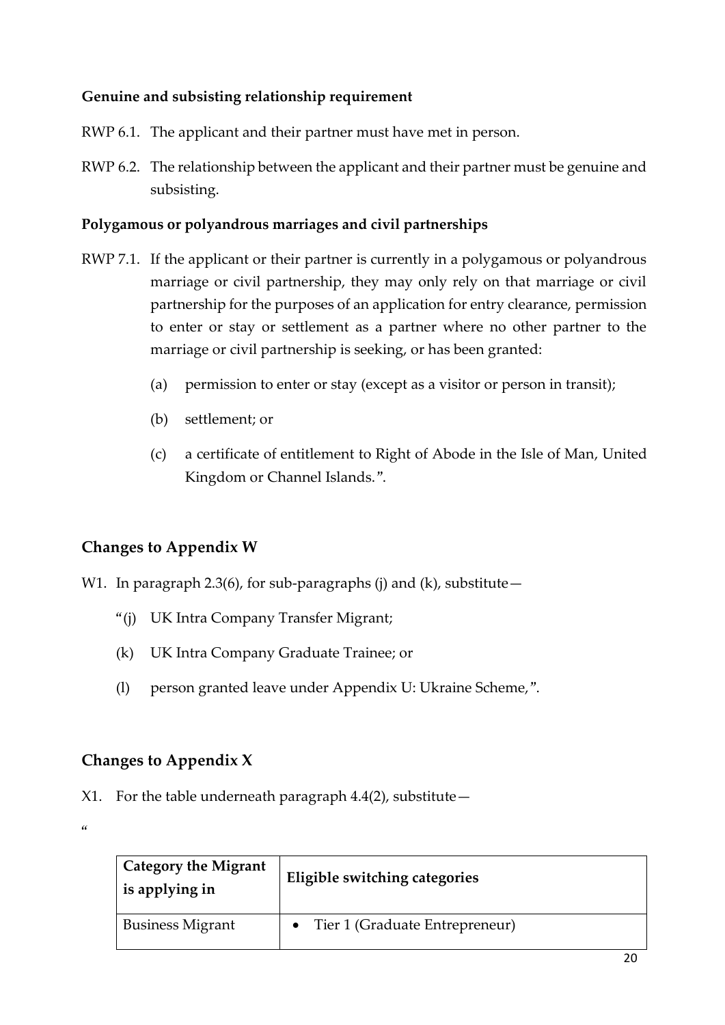# **Genuine and subsisting relationship requirement**

RWP 6.1. The applicant and their partner must have met in person.

RWP 6.2. The relationship between the applicant and their partner must be genuine and subsisting.

## **Polygamous or polyandrous marriages and civil partnerships**

- RWP 7.1. If the applicant or their partner is currently in a polygamous or polyandrous marriage or civil partnership, they may only rely on that marriage or civil partnership for the purposes of an application for entry clearance, permission to enter or stay or settlement as a partner where no other partner to the marriage or civil partnership is seeking, or has been granted:
	- (a) permission to enter or stay (except as a visitor or person in transit);
	- (b) settlement; or
	- (c) a certificate of entitlement to Right of Abode in the Isle of Man, United Kingdom or Channel Islands.".

# **Changes to Appendix W**

W1. In paragraph 2.3(6), for sub-paragraphs (j) and (k), substitute  $-$ 

- "(j) UK Intra Company Transfer Migrant;
- (k) UK Intra Company Graduate Trainee; or
- (l) person granted leave under Appendix U: Ukraine Scheme,".

# **Changes to Appendix X**

X1. For the table underneath paragraph 4.4(2), substitute—

 $\alpha$ 

| <b>Category the Migrant</b><br>is applying in | Eligible switching categories    |
|-----------------------------------------------|----------------------------------|
| <b>Business Migrant</b>                       | • Tier 1 (Graduate Entrepreneur) |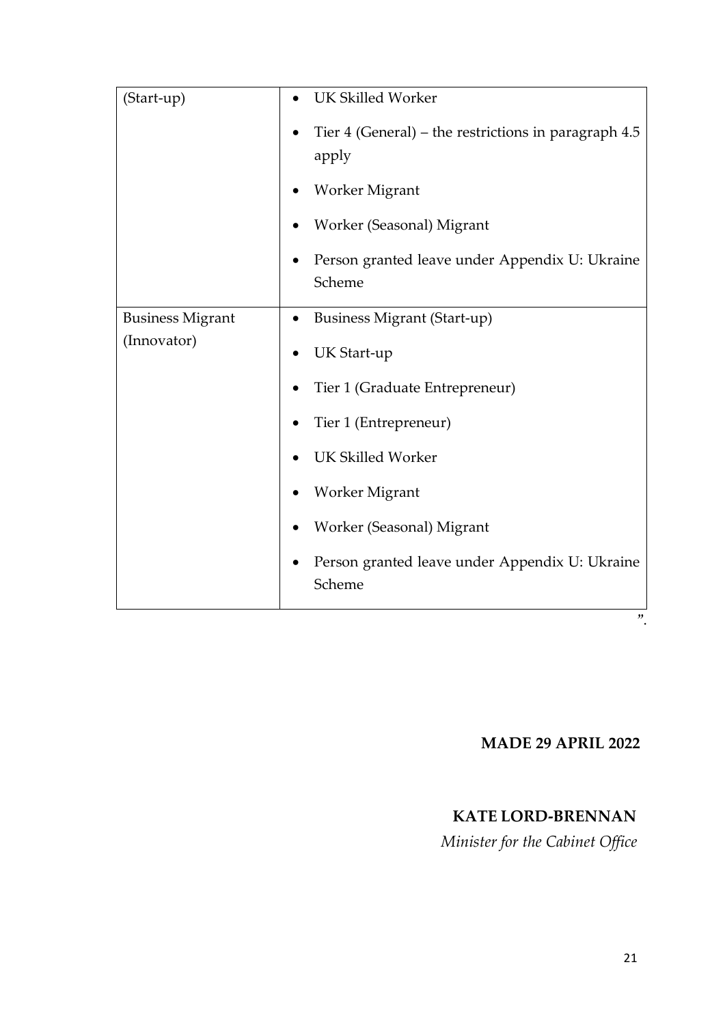| (Start-up)                             | <b>UK Skilled Worker</b>                                      |
|----------------------------------------|---------------------------------------------------------------|
|                                        | Tier 4 (General) – the restrictions in paragraph 4.5<br>apply |
|                                        | Worker Migrant                                                |
|                                        | Worker (Seasonal) Migrant                                     |
|                                        | Person granted leave under Appendix U: Ukraine<br>Scheme      |
| <b>Business Migrant</b><br>(Innovator) | <b>Business Migrant (Start-up)</b>                            |
|                                        | UK Start-up                                                   |
|                                        | Tier 1 (Graduate Entrepreneur)                                |
|                                        | Tier 1 (Entrepreneur)                                         |
|                                        | <b>UK Skilled Worker</b>                                      |
|                                        | Worker Migrant                                                |
|                                        | Worker (Seasonal) Migrant                                     |
|                                        | Person granted leave under Appendix U: Ukraine<br>Scheme      |
|                                        | "                                                             |

# **MADE 29 APRIL 2022**

# **KATE LORD-BRENNAN**

*Minister for the Cabinet Office*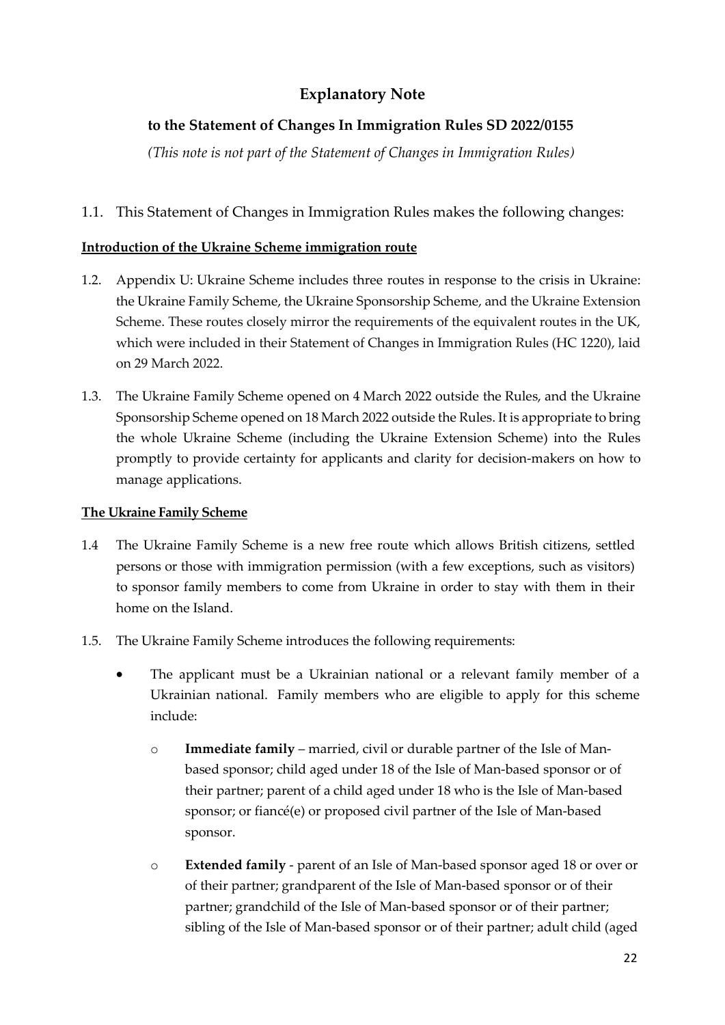# **Explanatory Note**

# **to the Statement of Changes In Immigration Rules SD 2022/0155**

*(This note is not part of the Statement of Changes in Immigration Rules)*

## 1.1. This Statement of Changes in Immigration Rules makes the following changes:

#### **Introduction of the Ukraine Scheme immigration route**

- 1.2. Appendix U: Ukraine Scheme includes three routes in response to the crisis in Ukraine: the Ukraine Family Scheme, the Ukraine Sponsorship Scheme, and the Ukraine Extension Scheme. These routes closely mirror the requirements of the equivalent routes in the UK, which were included in their Statement of Changes in Immigration Rules (HC 1220), laid on 29 March 2022.
- 1.3. The Ukraine Family Scheme opened on 4 March 2022 outside the Rules, and the Ukraine Sponsorship Scheme opened on 18 March 2022 outside the Rules. It is appropriate to bring the whole Ukraine Scheme (including the Ukraine Extension Scheme) into the Rules promptly to provide certainty for applicants and clarity for decision-makers on how to manage applications.

#### **The Ukraine Family Scheme**

- 1.4 The Ukraine Family Scheme is a new free route which allows British citizens, settled persons or those with immigration permission (with a few exceptions, such as visitors) to sponsor family members to come from Ukraine in order to stay with them in their home on the Island.
- 1.5. The Ukraine Family Scheme introduces the following requirements:
	- The applicant must be a Ukrainian national or a relevant family member of a Ukrainian national. Family members who are eligible to apply for this scheme include:
		- o **Immediate family**  married, civil or durable partner of the Isle of Manbased sponsor; child aged under 18 of the Isle of Man-based sponsor or of their partner; parent of a child aged under 18 who is the Isle of Man-based sponsor; or fiancé(e) or proposed civil partner of the Isle of Man-based sponsor.
		- o **Extended family**  parent of an Isle of Man-based sponsor aged 18 or over or of their partner; grandparent of the Isle of Man-based sponsor or of their partner; grandchild of the Isle of Man-based sponsor or of their partner; sibling of the Isle of Man-based sponsor or of their partner; adult child (aged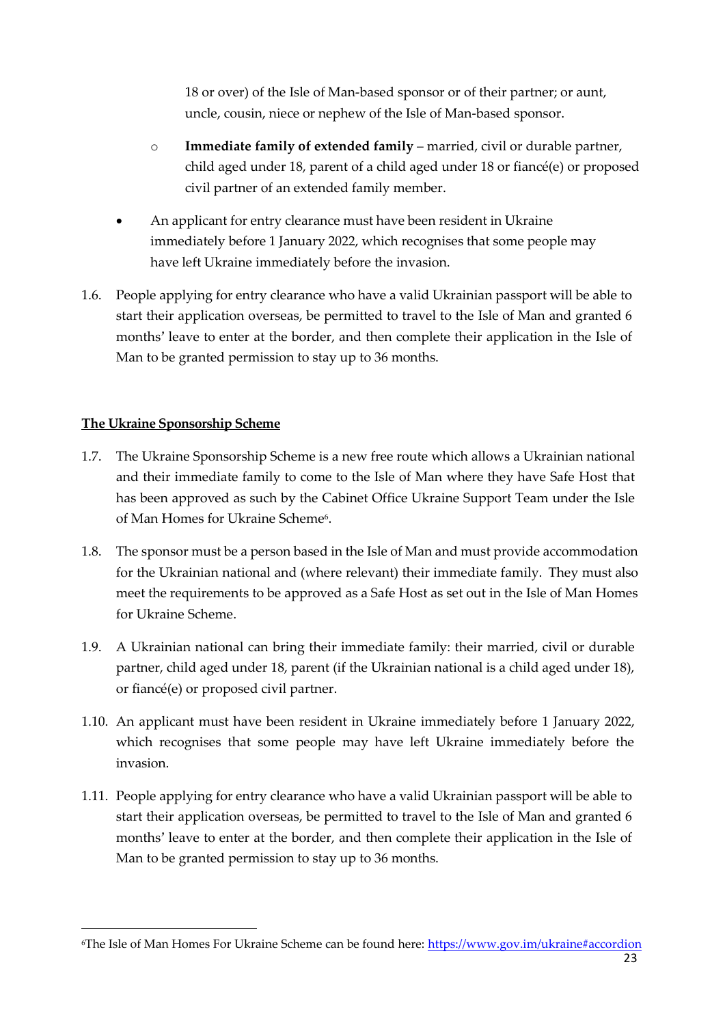18 or over) of the Isle of Man-based sponsor or of their partner; or aunt, uncle, cousin, niece or nephew of the Isle of Man-based sponsor.

- o **Immediate family of extended family**  married, civil or durable partner, child aged under 18, parent of a child aged under 18 or fiancé(e) or proposed civil partner of an extended family member.
- An applicant for entry clearance must have been resident in Ukraine immediately before 1 January 2022, which recognises that some people may have left Ukraine immediately before the invasion.
- 1.6. People applying for entry clearance who have a valid Ukrainian passport will be able to start their application overseas, be permitted to travel to the Isle of Man and granted 6 months' leave to enter at the border, and then complete their application in the Isle of Man to be granted permission to stay up to 36 months.

#### **The Ukraine Sponsorship Scheme**

1

- 1.7. The Ukraine Sponsorship Scheme is a new free route which allows a Ukrainian national and their immediate family to come to the Isle of Man where they have Safe Host that has been approved as such by the Cabinet Office Ukraine Support Team under the Isle of Man Homes for Ukraine Scheme<sup>6</sup>.
- 1.8. The sponsor must be a person based in the Isle of Man and must provide accommodation for the Ukrainian national and (where relevant) their immediate family. They must also meet the requirements to be approved as a Safe Host as set out in the Isle of Man Homes for Ukraine Scheme.
- 1.9. A Ukrainian national can bring their immediate family: their married, civil or durable partner, child aged under 18, parent (if the Ukrainian national is a child aged under 18), or fiancé(e) or proposed civil partner.
- 1.10. An applicant must have been resident in Ukraine immediately before 1 January 2022, which recognises that some people may have left Ukraine immediately before the invasion.
- 1.11. People applying for entry clearance who have a valid Ukrainian passport will be able to start their application overseas, be permitted to travel to the Isle of Man and granted 6 months' leave to enter at the border, and then complete their application in the Isle of Man to be granted permission to stay up to 36 months.

<sup>6</sup>The Isle of Man Homes For Ukraine Scheme can be found here:<https://www.gov.im/ukraine#accordion>